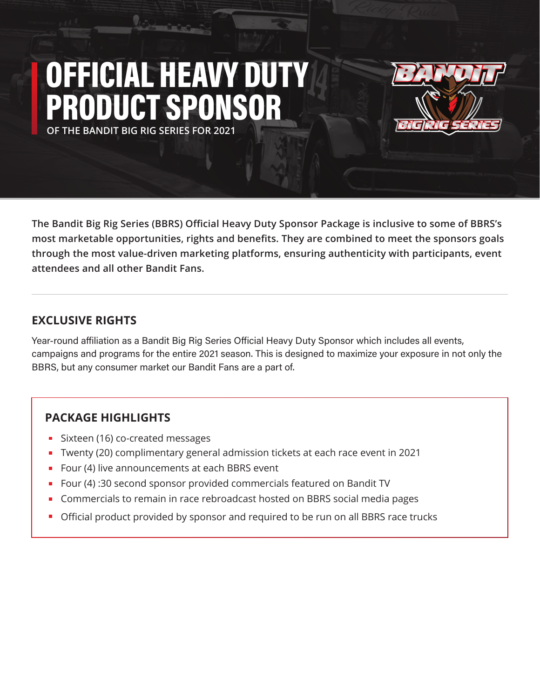## **OF THE BANDIT BIG RIG SERIES FOR 2021** OFFICIAL HEAVY DUTY PRODUCT SPONSOR



**The Bandit Big Rig Series (BBRS) Official Heavy Duty Sponsor Package is inclusive to some of BBRS's most marketable opportunities, rights and benefits. They are combined to meet the sponsors goals through the most value-driven marketing platforms, ensuring authenticity with participants, event attendees and all other Bandit Fans.**

#### **EXCLUSIVE RIGHTS**

Year-round affiliation as a Bandit Big Rig Series Official Heavy Duty Sponsor which includes all events, campaigns and programs for the entire 2021 season. This is designed to maximize your exposure in not only the BBRS, but any consumer market our Bandit Fans are a part of.

#### **PACKAGE HIGHLIGHTS**

- Sixteen (16) co-created messages
- Twenty (20) complimentary general admission tickets at each race event in 2021
- Four (4) live announcements at each BBRS event
- Four (4) :30 second sponsor provided commercials featured on Bandit TV
- **Commercials to remain in race rebroadcast hosted on BBRS social media pages**
- **Official product provided by sponsor and required to be run on all BBRS race trucks**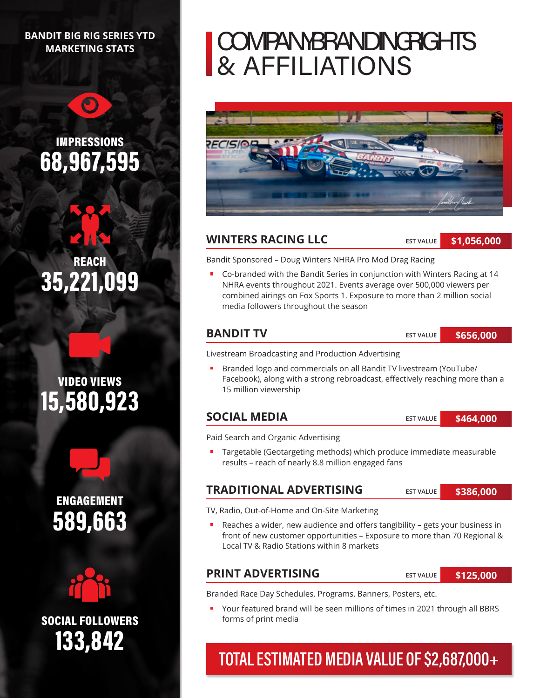#### **BANDIT BIG RIG SERIES YTD MARKETING STATS**

 $\bigcirc$ 

## IMPRESSIONS 68,967,595

REACH 35,221,099





ENGAGEMENT 589,663



133,842 SOCIAL FOLLOWERS

## COMPANYBRANDING RGHTS & AFFILIATIONS



#### **WINTERS RACING LLC**

**EST VALUE**

**\$1,056,000**

Bandit Sponsored – Doug Winters NHRA Pro Mod Drag Racing

Co-branded with the Bandit Series in conjunction with Winters Racing at 14 NHRA events throughout 2021. Events average over 500,000 viewers per combined airings on Fox Sports 1. Exposure to more than 2 million social media followers throughout the season

#### **BANDIT TV**

**EST VALUE \$656,000**

Livestream Broadcasting and Production Advertising

Branded logo and commercials on all Bandit TV livestream (YouTube/  $\blacksquare$ Facebook), along with a strong rebroadcast, effectively reaching more than a 15 million viewership

#### **SOCIAL MEDIA**

**EST VALUE \$464,000**

Paid Search and Organic Advertising

■ Targetable (Geotargeting methods) which produce immediate measurable results – reach of nearly 8.8 million engaged fans

#### **TRADITIONAL ADVERTISING**

**EST VALUE \$386,000**

TV, Radio, Out-of-Home and On-Site Marketing

Reaches a wider, new audience and offers tangibility – gets your business in front of new customer opportunities – Exposure to more than 70 Regional & Local TV & Radio Stations within 8 markets

#### **PRINT ADVERTISING**

**EST VALUE**

**\$125,000**

Branded Race Day Schedules, Programs, Banners, Posters, etc.

Your featured brand will be seen millions of times in 2021 through all BBRS forms of print media

### TOTAL ESTIMATED MEDIA VALUE OF \$2,687,000+